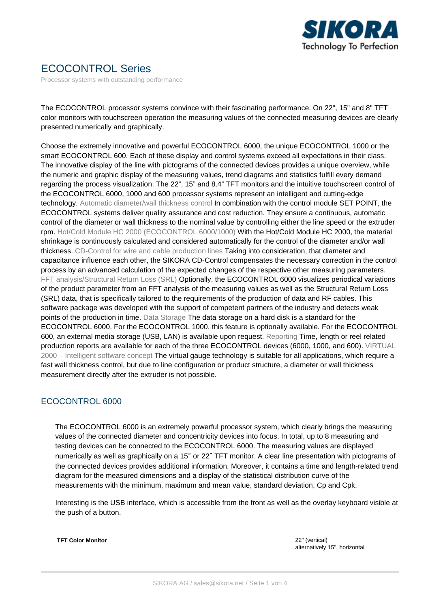

# ECOCONTROL Series

Processor systems with outstanding performance

The ECOCONTROL processor systems convince with their fascinating performance. On 22", 15" and 8" TFT color monitors with touchscreen operation the measuring values of the connected measuring devices are clearly presented numerically and graphically.

Choose the extremely innovative and powerful ECOCONTROL 6000, the unique ECOCONTROL 1000 or the smart ECOCONTROL 600. Each of these display and control systems exceed all expectations in their class. The innovative display of the line with pictograms of the connected devices provides a unique overview, while the numeric and graphic display of the measuring values, trend diagrams and statistics fulfill every demand regarding the process visualization. The 22", 15" and 8.4" TFT monitors and the intuitive touchscreen control of the ECOCONTROL 6000, 1000 and 600 processor systems represent an intelligent and cutting-edge technology. Automatic diameter/wall thickness control In combination with the control module SET POINT, the ECOCONTROL systems deliver quality assurance and cost reduction. They ensure a continuous, automatic control of the diameter or wall thickness to the nominal value by controlling either the line speed or the extruder rpm. Hot/Cold Module HC 2000 (ECOCONTROL 6000/1000) With the Hot/Cold Module HC 2000, the material shrinkage is continuously calculated and considered automatically for the control of the diameter and/or wall thickness. CD-Control for wire and cable production lines Taking into consideration, that diameter and capacitance influence each other, the SIKORA CD-Control compensates the necessary correction in the control process by an advanced calculation of the expected changes of the respective other measuring parameters. FFT analysis/Structural Return Loss (SRL) Optionally, the ECOCONTROL 6000 visualizes periodical variations of the product parameter from an FFT analysis of the measuring values as well as the Structural Return Loss (SRL) data, that is specifically tailored to the requirements of the production of data and RF cables. This software package was developed with the support of competent partners of the industry and detects weak points of the production in time. Data Storage The data storage on a hard disk is a standard for the ECOCONTROL 6000. For the ECOCONTROL 1000, this feature is optionally available. For the ECOCONTROL 600, an external media storage (USB, LAN) is available upon request. Reporting Time, length or reel related production reports are available for each of the three ECOCONTROL devices (6000, 1000, and 600). VIRTUAL 2000 – Intelligent software concept The virtual gauge technology is suitable for all applications, which require a fast wall thickness control, but due to line configuration or product structure, a diameter or wall thickness measurement directly after the extruder is not possible.

#### ECOCONTROL 6000

The ECOCONTROL 6000 is an extremely powerful processor system, which clearly brings the measuring values of the connected diameter and concentricity devices into focus. In total, up to 8 measuring and testing devices can be connected to the ECOCONTROL 6000. The measuring values are displayed numerically as well as graphically on a 15″ or 22″ TFT monitor. A clear line presentation with pictograms of the connected devices provides additional information. Moreover, it contains a time and length-related trend diagram for the measured dimensions and a display of the statistical distribution curve of the measurements with the minimum, maximum and mean value, standard deviation, Cp and Cpk.

Interesting is the USB interface, which is accessible from the front as well as the overlay keyboard visible at the push of a button.

**TFT Color Monitor** 22" (vertical)

alternatively 15", horizontal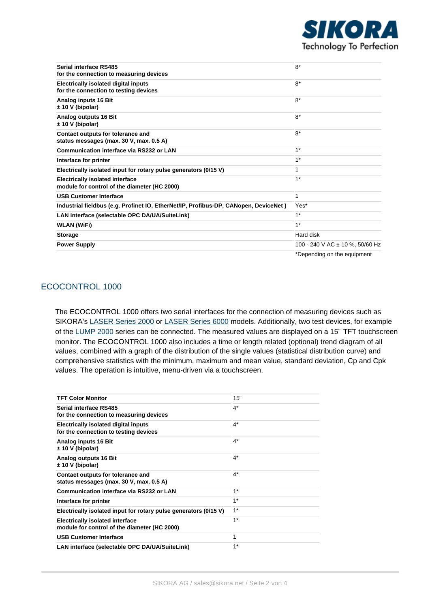

| Serial interface RS485<br>for the connection to measuring devices                      | $8*$                            |
|----------------------------------------------------------------------------------------|---------------------------------|
| <b>Electrically isolated digital inputs</b><br>for the connection to testing devices   | $8*$                            |
| Analog inputs 16 Bit<br>± 10 V (bipolar)                                               | $8*$                            |
| Analog outputs 16 Bit<br>± 10 V (bipolar)                                              | $8*$                            |
| Contact outputs for tolerance and<br>status messages (max. 30 V, max. 0.5 A)           | $8*$                            |
| <b>Communication interface via RS232 or LAN</b>                                        | $1*$                            |
| Interface for printer                                                                  | $1*$                            |
| Electrically isolated input for rotary pulse generators (0/15 V)                       | 1                               |
| <b>Electrically isolated interface</b><br>module for control of the diameter (HC 2000) | $1*$                            |
| <b>USB Customer Interface</b>                                                          | 1                               |
| Industrial fieldbus (e.g. Profinet IO, EtherNet/IP, Profibus-DP, CANopen, DeviceNet)   | Yes*                            |
| LAN interface (selectable OPC DA/UA/SuiteLink)                                         | $1*$                            |
| <b>WLAN (WiFi)</b>                                                                     | $1*$                            |
| <b>Storage</b>                                                                         | Hard disk                       |
| <b>Power Supply</b>                                                                    | 100 - 240 V AC ± 10 %, 50/60 Hz |
|                                                                                        | *Depending on the equipment     |

# ECOCONTROL 1000

The ECOCONTROL 1000 offers two serial interfaces for the connection of measuring devices such as SIKORA's [LASER Series 2000](https://sikora.net/en/products/laser2000/) or [LASER Series 6000](https://sikora.net/en/products/laser6000/) models. Additionally, two test devices, for example of the [LUMP 2000](https://sikora.net/en/products/lump-2000/) series can be connected. The measured values are displayed on a 15″ TFT touchscreen monitor. The ECOCONTROL 1000 also includes a time or length related (optional) trend diagram of all values, combined with a graph of the distribution of the single values (statistical distribution curve) and comprehensive statistics with the minimum, maximum and mean value, standard deviation, Cp and Cpk values. The operation is intuitive, menu-driven via a touchscreen.

| <b>TFT Color Monitor</b>                                                               | 15"   |
|----------------------------------------------------------------------------------------|-------|
| Serial interface RS485<br>for the connection to measuring devices                      | $4^*$ |
| Electrically isolated digital inputs<br>for the connection to testing devices          | $4^*$ |
| Analog inputs 16 Bit<br>± 10 V (bipolar)                                               | $4^*$ |
| Analog outputs 16 Bit<br>± 10 V (bipolar)                                              | $4^*$ |
| Contact outputs for tolerance and<br>status messages (max. 30 V, max. 0.5 A)           | $4^*$ |
| Communication interface via RS232 or LAN                                               | $1*$  |
| Interface for printer                                                                  | $1*$  |
| Electrically isolated input for rotary pulse generators (0/15 V)                       | $1*$  |
| <b>Electrically isolated interface</b><br>module for control of the diameter (HC 2000) | $1*$  |
| <b>USB Customer Interface</b>                                                          | 1     |
| LAN interface (selectable OPC DA/UA/SuiteLink)                                         | $1*$  |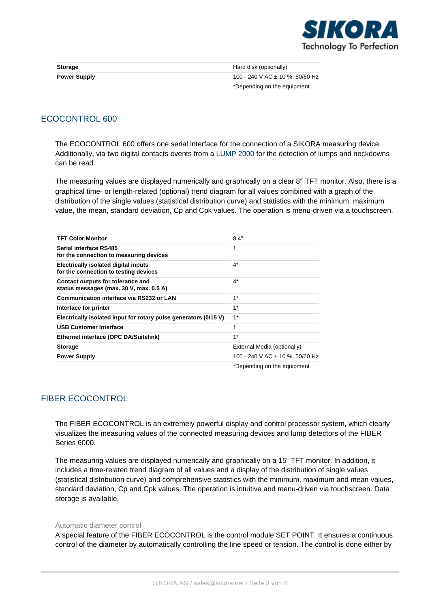

| <b>Storage</b>      | Hard disk (optionally)          |
|---------------------|---------------------------------|
| <b>Power Supply</b> | 100 - 240 V AC ± 10 %, 50/60 Hz |
|                     | *Depending on the equipment     |

### ECOCONTROL 600

The ECOCONTROL 600 offers one serial interface for the connection of a SIKORA measuring device. Additionally, via two digital contacts events from a [LUMP 2000](https://sikora.net/en/products/lump-2000/) for the detection of lumps and neckdowns can be read.

The measuring values are displayed numerically and graphically on a clear 8″ TFT monitor. Also, there is a graphical time- or length-related (optional) trend diagram for all values combined with a graph of the distribution of the single values (statistical distribution curve) and statistics with the minimum, maximum value, the mean, standard deviation, Cp and Cpk values. The operation is menu-driven via a touchscreen.

| <b>TFT Color Monitor</b>                                                      | 8.4"                            |  |
|-------------------------------------------------------------------------------|---------------------------------|--|
| Serial interface RS485<br>for the connection to measuring devices             | 1                               |  |
| Electrically isolated digital inputs<br>for the connection to testing devices | $4^*$                           |  |
| Contact outputs for tolerance and<br>status messages (max. 30 V, max. 0.5 A)  | $4^*$                           |  |
| Communication interface via RS232 or LAN                                      | $1*$                            |  |
| Interface for printer                                                         | $1*$                            |  |
| Electrically isolated input for rotary pulse generators (0/15 V)              | $1^*$                           |  |
| <b>USB Customer Interface</b>                                                 | 1                               |  |
| Ethernet interface (OPC DA/Suitelink)                                         | $1*$                            |  |
| <b>Storage</b>                                                                | External Media (optionally)     |  |
| <b>Power Supply</b>                                                           | 100 - 240 V AC ± 10 %, 50/60 Hz |  |
|                                                                               | *Depending on the equipment     |  |

# FIBER ECOCONTROL

The FIBER ECOCONTROL is an extremely powerful display and control processor system, which clearly visualizes the measuring values of the connected measuring devices and lump detectors of the FIBER Series 6000.

The measuring values are displayed numerically and graphically on a 15" TFT monitor. In addition, it includes a time-related trend diagram of all values and a display of the distribution of single values (statistical distribution curve) and comprehensive statistics with the minimum, maximum and mean values, standard deviation, Cp and Cpk values. The operation is intuitive and menu-driven via touchscreen. Data storage is available.

#### Automatic diameter control

A special feature of the FIBER ECOCONTROL is the control module SET POINT. It ensures a continuous control of the diameter by automatically controlling the line speed or tension. The control is done either by